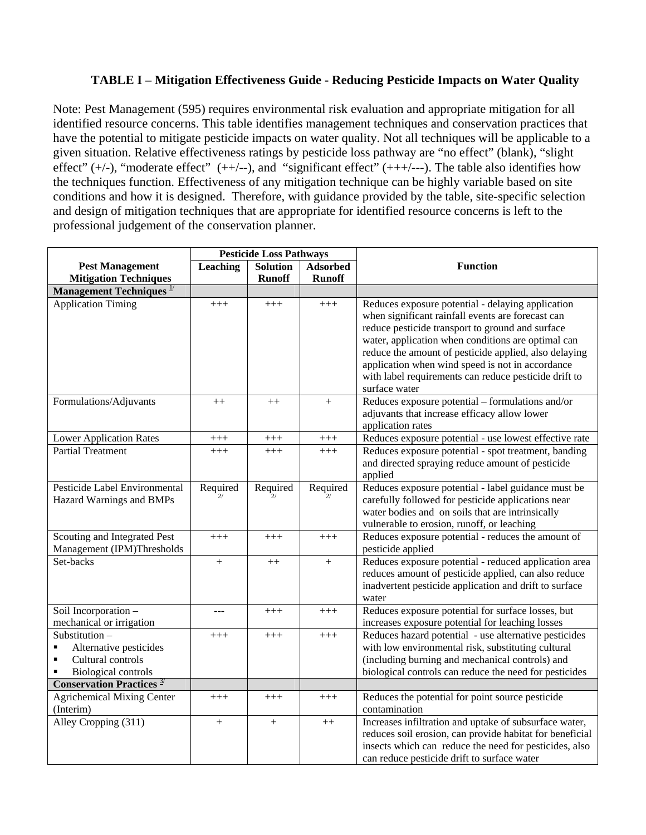### **TABLE I – Mitigation Effectiveness Guide - Reducing Pesticide Impacts on Water Quality**

Note: Pest Management (595) requires environmental risk evaluation and appropriate mitigation for all identified resource concerns. This table identifies management techniques and conservation practices that have the potential to mitigate pesticide impacts on water quality. Not all techniques will be applicable to a given situation. Relative effectiveness ratings by pesticide loss pathway are "no effect" (blank), "slight effect"  $(+/-)$ , "moderate effect"  $(++/-)$ , and "significant effect"  $(++/--)$ . The table also identifies how the techniques function. Effectiveness of any mitigation technique can be highly variable based on site conditions and how it is designed. Therefore, with guidance provided by the table, site-specific selection and design of mitigation techniques that are appropriate for identified resource concerns is left to the professional judgement of the conservation planner.

|                                                                                                                                     | <b>Pesticide Loss Pathways</b> |                 |                 |                                                                                                                                                                                                                                                                                                                                                                                                         |
|-------------------------------------------------------------------------------------------------------------------------------------|--------------------------------|-----------------|-----------------|---------------------------------------------------------------------------------------------------------------------------------------------------------------------------------------------------------------------------------------------------------------------------------------------------------------------------------------------------------------------------------------------------------|
| <b>Pest Management</b>                                                                                                              | Leaching                       | <b>Solution</b> | <b>Adsorbed</b> | <b>Function</b>                                                                                                                                                                                                                                                                                                                                                                                         |
| <b>Mitigation Techniques</b>                                                                                                        |                                | <b>Runoff</b>   | <b>Runoff</b>   |                                                                                                                                                                                                                                                                                                                                                                                                         |
| <b>Management Techniques</b> $\frac{1}{2}$                                                                                          |                                |                 |                 |                                                                                                                                                                                                                                                                                                                                                                                                         |
| <b>Application Timing</b>                                                                                                           | $+++$                          | $+++$           | $+++$           | Reduces exposure potential - delaying application<br>when significant rainfall events are forecast can<br>reduce pesticide transport to ground and surface<br>water, application when conditions are optimal can<br>reduce the amount of pesticide applied, also delaying<br>application when wind speed is not in accordance<br>with label requirements can reduce pesticide drift to<br>surface water |
| Formulations/Adjuvants                                                                                                              | $++$                           | $++$            | $^{+}$          | Reduces exposure potential - formulations and/or<br>adjuvants that increase efficacy allow lower<br>application rates                                                                                                                                                                                                                                                                                   |
| <b>Lower Application Rates</b>                                                                                                      | $^{+++}$                       | $^{+++}$        | $^{+++}$        | Reduces exposure potential - use lowest effective rate                                                                                                                                                                                                                                                                                                                                                  |
| <b>Partial Treatment</b>                                                                                                            | $+++$                          | $+++$           | $+++$           | Reduces exposure potential - spot treatment, banding<br>and directed spraying reduce amount of pesticide<br>applied                                                                                                                                                                                                                                                                                     |
| Pesticide Label Environmental<br>Hazard Warnings and BMPs                                                                           | Required                       | Required        | Required        | Reduces exposure potential - label guidance must be<br>carefully followed for pesticide applications near<br>water bodies and on soils that are intrinsically<br>vulnerable to erosion, runoff, or leaching                                                                                                                                                                                             |
| Scouting and Integrated Pest<br>Management (IPM)Thresholds                                                                          | $+++$                          | $+++$           | $+++$           | Reduces exposure potential - reduces the amount of<br>pesticide applied                                                                                                                                                                                                                                                                                                                                 |
| Set-backs                                                                                                                           | $+$                            | $^{++}$         | $+$             | Reduces exposure potential - reduced application area<br>reduces amount of pesticide applied, can also reduce<br>inadvertent pesticide application and drift to surface<br>water                                                                                                                                                                                                                        |
| Soil Incorporation -<br>mechanical or irrigation                                                                                    | ---                            | $+++$           | $+++$           | Reduces exposure potential for surface losses, but<br>increases exposure potential for leaching losses                                                                                                                                                                                                                                                                                                  |
| Substitution-<br>Alternative pesticides<br>٠<br>Cultural controls<br>$\blacksquare$<br><b>Biological controls</b><br>$\blacksquare$ | $+++$                          | $+++$           | $+++$           | Reduces hazard potential - use alternative pesticides<br>with low environmental risk, substituting cultural<br>(including burning and mechanical controls) and<br>biological controls can reduce the need for pesticides                                                                                                                                                                                |
| <b>Conservation Practices</b> $\frac{3}{2}$                                                                                         |                                |                 |                 |                                                                                                                                                                                                                                                                                                                                                                                                         |
| <b>Agrichemical Mixing Center</b><br>(Interim)                                                                                      | $+++$                          | $+++$           | $+++$           | Reduces the potential for point source pesticide<br>contamination                                                                                                                                                                                                                                                                                                                                       |
| Alley Cropping (311)                                                                                                                | $^{+}$                         | $+$             | $++$            | Increases infiltration and uptake of subsurface water,<br>reduces soil erosion, can provide habitat for beneficial<br>insects which can reduce the need for pesticides, also<br>can reduce pesticide drift to surface water                                                                                                                                                                             |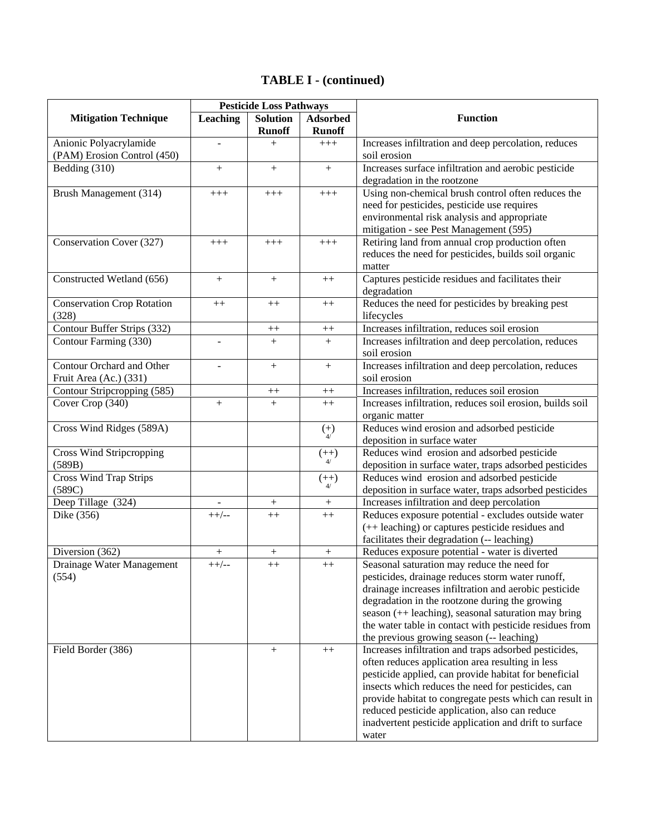|                                              | <b>Pesticide Loss Pathways</b> |                 |                 |                                                                                                 |
|----------------------------------------------|--------------------------------|-----------------|-----------------|-------------------------------------------------------------------------------------------------|
| <b>Mitigation Technique</b>                  | <b>Leaching</b>                | <b>Solution</b> | <b>Adsorbed</b> | <b>Function</b>                                                                                 |
|                                              |                                | <b>Runoff</b>   | <b>Runoff</b>   |                                                                                                 |
| Anionic Polyacrylamide                       | $\blacksquare$                 | $^{+}$          | $^{+++}$        | Increases infiltration and deep percolation, reduces                                            |
| (PAM) Erosion Control (450)                  |                                |                 |                 | soil erosion                                                                                    |
| Bedding (310)                                | $^{+}$                         | $+$             | $^{+}$          | Increases surface infiltration and aerobic pesticide                                            |
|                                              |                                |                 |                 | degradation in the rootzone                                                                     |
| Brush Management (314)                       | $+++$                          | $^{+++}$        | $+++$           | Using non-chemical brush control often reduces the                                              |
|                                              |                                |                 |                 | need for pesticides, pesticide use requires                                                     |
|                                              |                                |                 |                 | environmental risk analysis and appropriate                                                     |
| Conservation Cover (327)                     | $+++$                          | $+++$           | $+++$           | mitigation - see Pest Management (595)<br>Retiring land from annual crop production often       |
|                                              |                                |                 |                 | reduces the need for pesticides, builds soil organic                                            |
|                                              |                                |                 |                 | matter                                                                                          |
| Constructed Wetland (656)                    | $^{+}$                         | $^{+}$          | $^{++}$         | Captures pesticide residues and facilitates their                                               |
|                                              |                                |                 |                 | degradation                                                                                     |
| <b>Conservation Crop Rotation</b>            | $^{++}$                        | $++$            | $^{++}$         | Reduces the need for pesticides by breaking pest                                                |
| (328)                                        |                                |                 |                 | lifecycles                                                                                      |
| Contour Buffer Strips (332)                  |                                | $++$            | $++$            | Increases infiltration, reduces soil erosion                                                    |
| Contour Farming (330)                        | $\overline{\phantom{a}}$       | $+$             | $+$             | Increases infiltration and deep percolation, reduces                                            |
|                                              |                                |                 |                 | soil erosion                                                                                    |
| Contour Orchard and Other                    | $\blacksquare$                 | $^{+}$          | $^{+}$          | Increases infiltration and deep percolation, reduces                                            |
| Fruit Area (Ac.) (331)                       |                                |                 |                 | soil erosion                                                                                    |
| Contour Stripcropping (585)                  |                                | $^{++}\,$       | $++$            | Increases infiltration, reduces soil erosion                                                    |
| Cover Crop (340)                             | $+$                            | $^{+}$          | $++$            | Increases infiltration, reduces soil erosion, builds soil                                       |
|                                              |                                |                 |                 | organic matter                                                                                  |
| Cross Wind Ridges (589A)                     |                                |                 | $\binom{+}{4}$  | Reduces wind erosion and adsorbed pesticide                                                     |
|                                              |                                |                 |                 | deposition in surface water                                                                     |
| <b>Cross Wind Stripcropping</b>              |                                |                 | $(++)$          | Reduces wind erosion and adsorbed pesticide                                                     |
| (589B)                                       |                                |                 |                 | deposition in surface water, traps adsorbed pesticides                                          |
| <b>Cross Wind Trap Strips</b>                |                                |                 | $(++)$          | Reduces wind erosion and adsorbed pesticide                                                     |
| (589C)                                       |                                |                 |                 | deposition in surface water, traps adsorbed pesticides                                          |
| Deep Tillage (324)                           |                                | $^{+}$          | $^{+}$          | Increases infiltration and deep percolation                                                     |
| Dike (356)                                   | $++/--$                        | $++$            | $++$            | Reduces exposure potential - excludes outside water                                             |
|                                              |                                |                 |                 | (++ leaching) or captures pesticide residues and                                                |
|                                              |                                |                 |                 | facilitates their degradation (-- leaching)                                                     |
| Diversion (362)<br>Drainage Water Management | $\boldsymbol{+}$<br>$++/--$    | $^{+}$          | $^{+}$          | Reduces exposure potential - water is diverted                                                  |
| (554)                                        |                                | $++$            | $++$            | Seasonal saturation may reduce the need for<br>pesticides, drainage reduces storm water runoff, |
|                                              |                                |                 |                 | drainage increases infiltration and aerobic pesticide                                           |
|                                              |                                |                 |                 | degradation in the rootzone during the growing                                                  |
|                                              |                                |                 |                 | season (++ leaching), seasonal saturation may bring                                             |
|                                              |                                |                 |                 | the water table in contact with pesticide residues from                                         |
|                                              |                                |                 |                 | the previous growing season (-- leaching)                                                       |
| Field Border (386)                           |                                | $^{+}$          | $++$            | Increases infiltration and traps adsorbed pesticides,                                           |
|                                              |                                |                 |                 | often reduces application area resulting in less                                                |
|                                              |                                |                 |                 | pesticide applied, can provide habitat for beneficial                                           |
|                                              |                                |                 |                 | insects which reduces the need for pesticides, can                                              |
|                                              |                                |                 |                 | provide habitat to congregate pests which can result in                                         |
|                                              |                                |                 |                 | reduced pesticide application, also can reduce                                                  |
|                                              |                                |                 |                 | inadvertent pesticide application and drift to surface                                          |
|                                              |                                |                 |                 | water                                                                                           |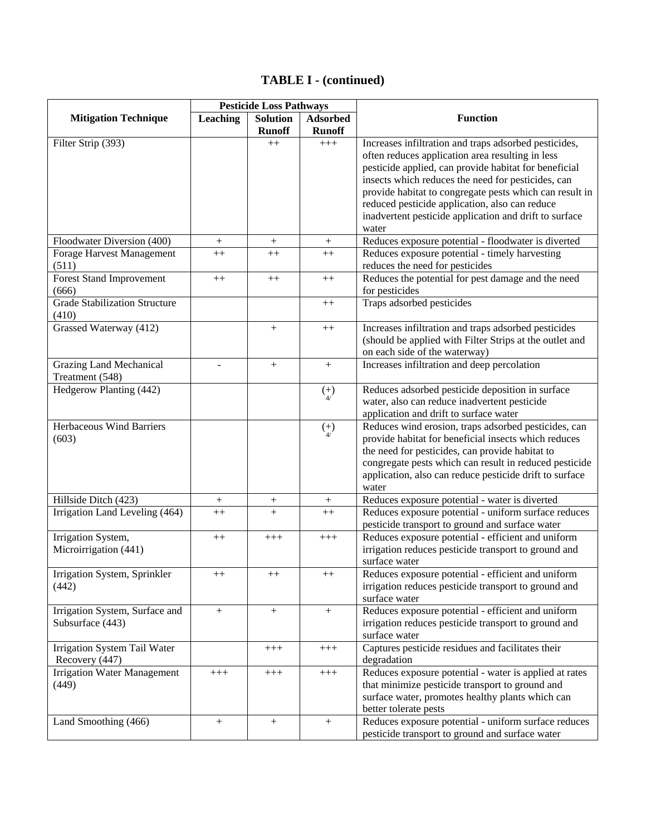|                                      | <b>Pesticide Loss Pathways</b> |                                  |                                  |                                                         |
|--------------------------------------|--------------------------------|----------------------------------|----------------------------------|---------------------------------------------------------|
| <b>Mitigation Technique</b>          | Leaching                       | <b>Solution</b><br><b>Runoff</b> | <b>Adsorbed</b><br><b>Runoff</b> | <b>Function</b>                                         |
| Filter Strip (393)                   |                                | $++$                             | $+++$                            | Increases infiltration and traps adsorbed pesticides,   |
|                                      |                                |                                  |                                  | often reduces application area resulting in less        |
|                                      |                                |                                  |                                  | pesticide applied, can provide habitat for beneficial   |
|                                      |                                |                                  |                                  | insects which reduces the need for pesticides, can      |
|                                      |                                |                                  |                                  | provide habitat to congregate pests which can result in |
|                                      |                                |                                  |                                  | reduced pesticide application, also can reduce          |
|                                      |                                |                                  |                                  | inadvertent pesticide application and drift to surface  |
|                                      |                                |                                  |                                  | water                                                   |
| Floodwater Diversion (400)           | $\boldsymbol{+}$               | $\! +$                           | $\boldsymbol{+}$                 | Reduces exposure potential - floodwater is diverted     |
| Forage Harvest Management            | $^{++}$                        | $^{++}$                          | $^{++}$                          | Reduces exposure potential - timely harvesting          |
| (511)                                |                                |                                  |                                  | reduces the need for pesticides                         |
| <b>Forest Stand Improvement</b>      | $^{++}$                        | $++$                             | $^{++}$                          | Reduces the potential for pest damage and the need      |
| (666)                                |                                |                                  |                                  | for pesticides                                          |
| <b>Grade Stabilization Structure</b> |                                |                                  | $^{++}$                          | Traps adsorbed pesticides                               |
| (410)                                |                                |                                  |                                  |                                                         |
| Grassed Waterway (412)               |                                | $^{+}$                           | $++$                             | Increases infiltration and traps adsorbed pesticides    |
|                                      |                                |                                  |                                  | (should be applied with Filter Strips at the outlet and |
|                                      |                                |                                  |                                  | on each side of the waterway)                           |
| <b>Grazing Land Mechanical</b>       |                                | $+$                              | $+$                              | Increases infiltration and deep percolation             |
| Treatment (548)                      |                                |                                  |                                  |                                                         |
| Hedgerow Planting (442)              |                                |                                  | $(+)$                            | Reduces adsorbed pesticide deposition in surface        |
|                                      |                                |                                  |                                  | water, also can reduce inadvertent pesticide            |
|                                      |                                |                                  |                                  | application and drift to surface water                  |
| Herbaceous Wind Barriers             |                                |                                  | $\binom{+}{4}$                   | Reduces wind erosion, traps adsorbed pesticides, can    |
| (603)                                |                                |                                  |                                  | provide habitat for beneficial insects which reduces    |
|                                      |                                |                                  |                                  | the need for pesticides, can provide habitat to         |
|                                      |                                |                                  |                                  | congregate pests which can result in reduced pesticide  |
|                                      |                                |                                  |                                  | application, also can reduce pesticide drift to surface |
|                                      |                                |                                  |                                  | water                                                   |
| Hillside Ditch (423)                 | $^{+}$                         | $^+$                             | $^{+}$                           | Reduces exposure potential - water is diverted          |
| Irrigation Land Leveling (464)       | $++$                           | $^{+}$                           | $++$                             | Reduces exposure potential - uniform surface reduces    |
|                                      |                                |                                  |                                  | pesticide transport to ground and surface water         |
| Irrigation System,                   | $++$                           | $+++$                            | $+++$                            | Reduces exposure potential - efficient and uniform      |
| Microirrigation (441)                |                                |                                  |                                  | irrigation reduces pesticide transport to ground and    |
|                                      |                                |                                  |                                  | surface water                                           |
| Irrigation System, Sprinkler         | $^{++}$                        | $^{++}$                          | $^{++}$                          | Reduces exposure potential - efficient and uniform      |
| (442)                                |                                |                                  |                                  | irrigation reduces pesticide transport to ground and    |
|                                      |                                |                                  |                                  | surface water                                           |
| Irrigation System, Surface and       | $+$                            | $+$                              | $^{+}$                           | Reduces exposure potential - efficient and uniform      |
| Subsurface (443)                     |                                |                                  |                                  | irrigation reduces pesticide transport to ground and    |
|                                      |                                |                                  |                                  | surface water                                           |
| Irrigation System Tail Water         |                                | $+++$                            | $+++$                            | Captures pesticide residues and facilitates their       |
| Recovery (447)                       |                                |                                  |                                  | degradation                                             |
| <b>Irrigation Water Management</b>   | $+++$                          | $+++$                            | $+++$                            | Reduces exposure potential - water is applied at rates  |
| (449)                                |                                |                                  |                                  | that minimize pesticide transport to ground and         |
|                                      |                                |                                  |                                  | surface water, promotes healthy plants which can        |
|                                      |                                |                                  |                                  | better tolerate pests                                   |
| Land Smoothing (466)                 | $\boldsymbol{+}$               | $^{+}$                           | $+$                              | Reduces exposure potential - uniform surface reduces    |
|                                      |                                |                                  |                                  | pesticide transport to ground and surface water         |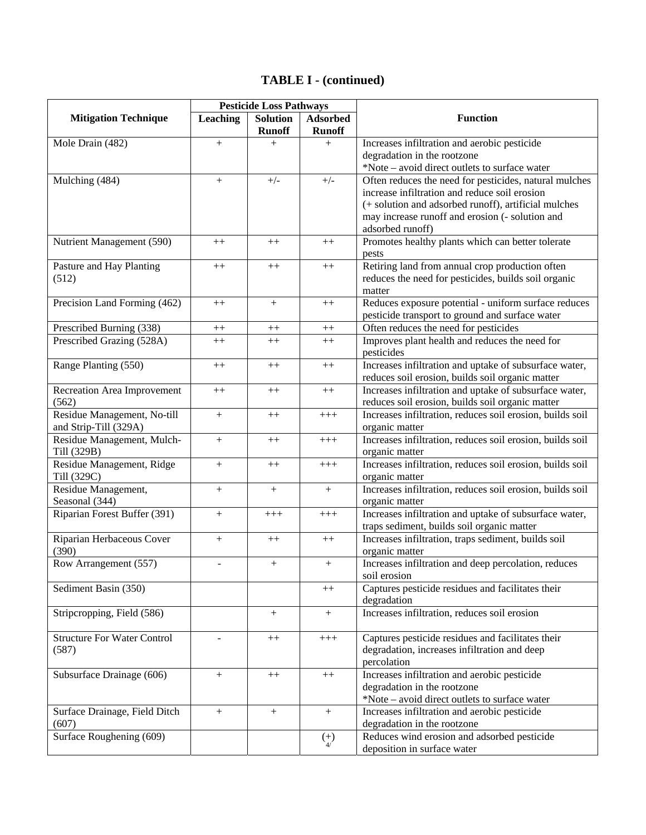|                                          | <b>Pesticide Loss Pathways</b> |                                  |                           |                                                                             |
|------------------------------------------|--------------------------------|----------------------------------|---------------------------|-----------------------------------------------------------------------------|
| <b>Mitigation Technique</b>              | <b>Leaching</b>                | <b>Solution</b><br><b>Runoff</b> | Adsorbed<br><b>Runoff</b> | <b>Function</b>                                                             |
| Mole Drain (482)                         | $+$                            | $^{+}$                           | $+$                       | Increases infiltration and aerobic pesticide                                |
|                                          |                                |                                  |                           | degradation in the rootzone                                                 |
|                                          |                                |                                  |                           | *Note – avoid direct outlets to surface water                               |
| Mulching (484)                           | $\boldsymbol{+}$               | $+/-$                            | $+/-$                     | Often reduces the need for pesticides, natural mulches                      |
|                                          |                                |                                  |                           | increase infiltration and reduce soil erosion                               |
|                                          |                                |                                  |                           | (+ solution and adsorbed runoff), artificial mulches                        |
|                                          |                                |                                  |                           | may increase runoff and erosion (- solution and<br>adsorbed runoff)         |
| Nutrient Management (590)                | $++$                           | $++$                             | $++$                      | Promotes healthy plants which can better tolerate<br>pests                  |
| Pasture and Hay Planting                 | $++$                           | $++$                             | $++$                      | Retiring land from annual crop production often                             |
| (512)                                    |                                |                                  |                           | reduces the need for pesticides, builds soil organic<br>matter              |
| Precision Land Forming (462)             | $^{++}$                        | $^{+}$                           | $^{++}$                   | Reduces exposure potential - uniform surface reduces                        |
|                                          |                                |                                  |                           | pesticide transport to ground and surface water                             |
| Prescribed Burning (338)                 | $++$                           | $++$                             | $^{++}$                   | Often reduces the need for pesticides                                       |
| Prescribed Grazing (528A)                | $++$                           | $++$                             | $++$                      | Improves plant health and reduces the need for                              |
|                                          |                                |                                  |                           | pesticides                                                                  |
| Range Planting (550)                     | $++$                           | $++$                             | $++$                      | Increases infiltration and uptake of subsurface water,                      |
|                                          |                                |                                  |                           | reduces soil erosion, builds soil organic matter                            |
| Recreation Area Improvement              | $++$                           | $++$                             | $++$                      | Increases infiltration and uptake of subsurface water,                      |
| (562)                                    |                                |                                  |                           | reduces soil erosion, builds soil organic matter                            |
| Residue Management, No-till              |                                | $++$                             | $+++$                     | Increases infiltration, reduces soil erosion, builds soil                   |
| and Strip-Till (329A)                    |                                |                                  |                           | organic matter                                                              |
| Residue Management, Mulch-               | $+$                            | $++$                             | $+++$                     | Increases infiltration, reduces soil erosion, builds soil                   |
| Till (329B)                              |                                |                                  |                           | organic matter                                                              |
| Residue Management, Ridge<br>Till (329C) | $+$                            | $++$                             | $+++$                     | Increases infiltration, reduces soil erosion, builds soil<br>organic matter |
| Residue Management,                      | $+$                            | $+$                              | $+$                       | Increases infiltration, reduces soil erosion, builds soil                   |
| Seasonal (344)                           |                                |                                  |                           | organic matter                                                              |
| Riparian Forest Buffer (391)             | $+$                            | $^{+++}$                         | $^{+++}$                  | Increases infiltration and uptake of subsurface water,                      |
|                                          |                                |                                  |                           | traps sediment, builds soil organic matter                                  |
| Riparian Herbaceous Cover                | $+$                            | $++$                             | $++$                      | Increases infiltration, traps sediment, builds soil                         |
| (390)                                    |                                |                                  |                           | organic matter                                                              |
| Row Arrangement (557)                    | $\overline{a}$                 | $+$                              | $^{+}$                    | Increases infiltration and deep percolation, reduces                        |
|                                          |                                |                                  |                           | soil erosion                                                                |
| Sediment Basin (350)                     |                                |                                  | $++$                      | Captures pesticide residues and facilitates their                           |
|                                          |                                |                                  |                           | degradation                                                                 |
| Stripcropping, Field (586)               |                                | $^{+}$                           | $^{+}$                    | Increases infiltration, reduces soil erosion                                |
| <b>Structure For Water Control</b>       | $\overline{a}$                 | $++$                             | $+++$                     | Captures pesticide residues and facilitates their                           |
| (587)                                    |                                |                                  |                           | degradation, increases infiltration and deep                                |
|                                          |                                |                                  |                           | percolation                                                                 |
| Subsurface Drainage (606)                | $+$                            | $++$                             | $++$                      | Increases infiltration and aerobic pesticide                                |
|                                          |                                |                                  |                           | degradation in the rootzone                                                 |
|                                          |                                |                                  |                           | *Note – avoid direct outlets to surface water                               |
| Surface Drainage, Field Ditch            | $+$                            | $^{+}$                           | $\boldsymbol{+}$          | Increases infiltration and aerobic pesticide                                |
| (607)                                    |                                |                                  |                           | degradation in the rootzone                                                 |
| Surface Roughening (609)                 |                                |                                  | $\binom{+}{4}$            | Reduces wind erosion and adsorbed pesticide                                 |
|                                          |                                |                                  |                           | deposition in surface water                                                 |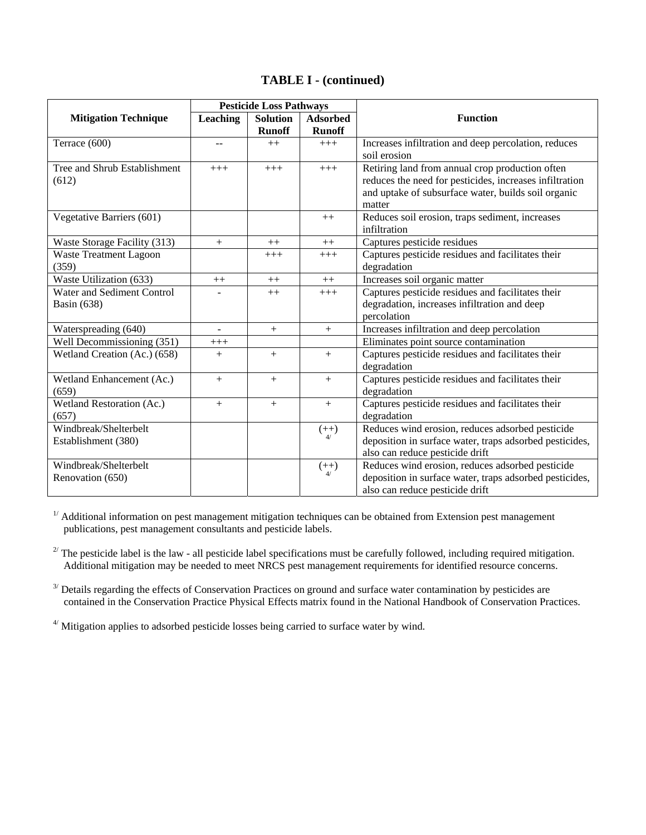|                               | <b>Pesticide Loss Pathways</b> |                 |                 |                                                         |
|-------------------------------|--------------------------------|-----------------|-----------------|---------------------------------------------------------|
| <b>Mitigation Technique</b>   | <b>Leaching</b>                | <b>Solution</b> | <b>Adsorbed</b> | <b>Function</b>                                         |
|                               |                                | <b>Runoff</b>   | <b>Runoff</b>   |                                                         |
| Terrace (600)                 | $\sim$ $\sim$                  | $++$            | $+++$           | Increases infiltration and deep percolation, reduces    |
|                               |                                |                 |                 | soil erosion                                            |
| Tree and Shrub Establishment  | $+++$                          | $+++$           | $+++$           | Retiring land from annual crop production often         |
| (612)                         |                                |                 |                 | reduces the need for pesticides, increases infiltration |
|                               |                                |                 |                 | and uptake of subsurface water, builds soil organic     |
|                               |                                |                 |                 | matter                                                  |
| Vegetative Barriers (601)     |                                |                 | $++$            | Reduces soil erosion, traps sediment, increases         |
|                               |                                |                 |                 | infiltration                                            |
| Waste Storage Facility (313)  | $+$                            | $++$            | $++$            | Captures pesticide residues                             |
| <b>Waste Treatment Lagoon</b> |                                | $+++$           | $+++$           | Captures pesticide residues and facilitates their       |
| (359)                         |                                |                 |                 | degradation                                             |
| Waste Utilization (633)       | $++$                           | $++$            | $++$            | Increases soil organic matter                           |
| Water and Sediment Control    |                                | $++$            | $+++$           | Captures pesticide residues and facilitates their       |
| <b>Basin</b> (638)            |                                |                 |                 | degradation, increases infiltration and deep            |
|                               |                                |                 |                 | percolation                                             |
| Waterspreading (640)          | $\qquad \qquad \blacksquare$   | $^{+}$          | $+$             | Increases infiltration and deep percolation             |
| Well Decommissioning (351)    | $^{+++}$                       |                 |                 | Eliminates point source contamination                   |
| Wetland Creation (Ac.) (658)  | $^{+}$                         | $+$             | $+$             | Captures pesticide residues and facilitates their       |
|                               |                                |                 |                 | degradation                                             |
| Wetland Enhancement (Ac.)     | $+$                            | $+$             | $+$             | Captures pesticide residues and facilitates their       |
| (659)                         |                                |                 |                 | degradation                                             |
| Wetland Restoration (Ac.)     | $+$                            | $+$             | $+$             | Captures pesticide residues and facilitates their       |
| (657)                         |                                |                 |                 | degradation                                             |
| Windbreak/Shelterbelt         |                                |                 | $(++)$          | Reduces wind erosion, reduces adsorbed pesticide        |
| Establishment (380)           |                                |                 |                 | deposition in surface water, traps adsorbed pesticides, |
|                               |                                |                 |                 | also can reduce pesticide drift                         |
| Windbreak/Shelterbelt         |                                |                 | $(++)$          | Reduces wind erosion, reduces adsorbed pesticide        |
| Renovation (650)              |                                |                 |                 | deposition in surface water, traps adsorbed pesticides, |
|                               |                                |                 |                 | also can reduce pesticide drift                         |

 $1/$  Additional information on pest management mitigation techniques can be obtained from Extension pest management publications, pest management consultants and pesticide labels.

 $2^{7}$  The pesticide label is the law - all pesticide label specifications must be carefully followed, including required mitigation. Additional mitigation may be needed to meet NRCS pest management requirements for identified resource concerns.

 $3/$  Details regarding the effects of Conservation Practices on ground and surface water contamination by pesticides are contained in the Conservation Practice Physical Effects matrix found in the National Handbook of Conservation Practices.

<sup>4/</sup> Mitigation applies to adsorbed pesticide losses being carried to surface water by wind.